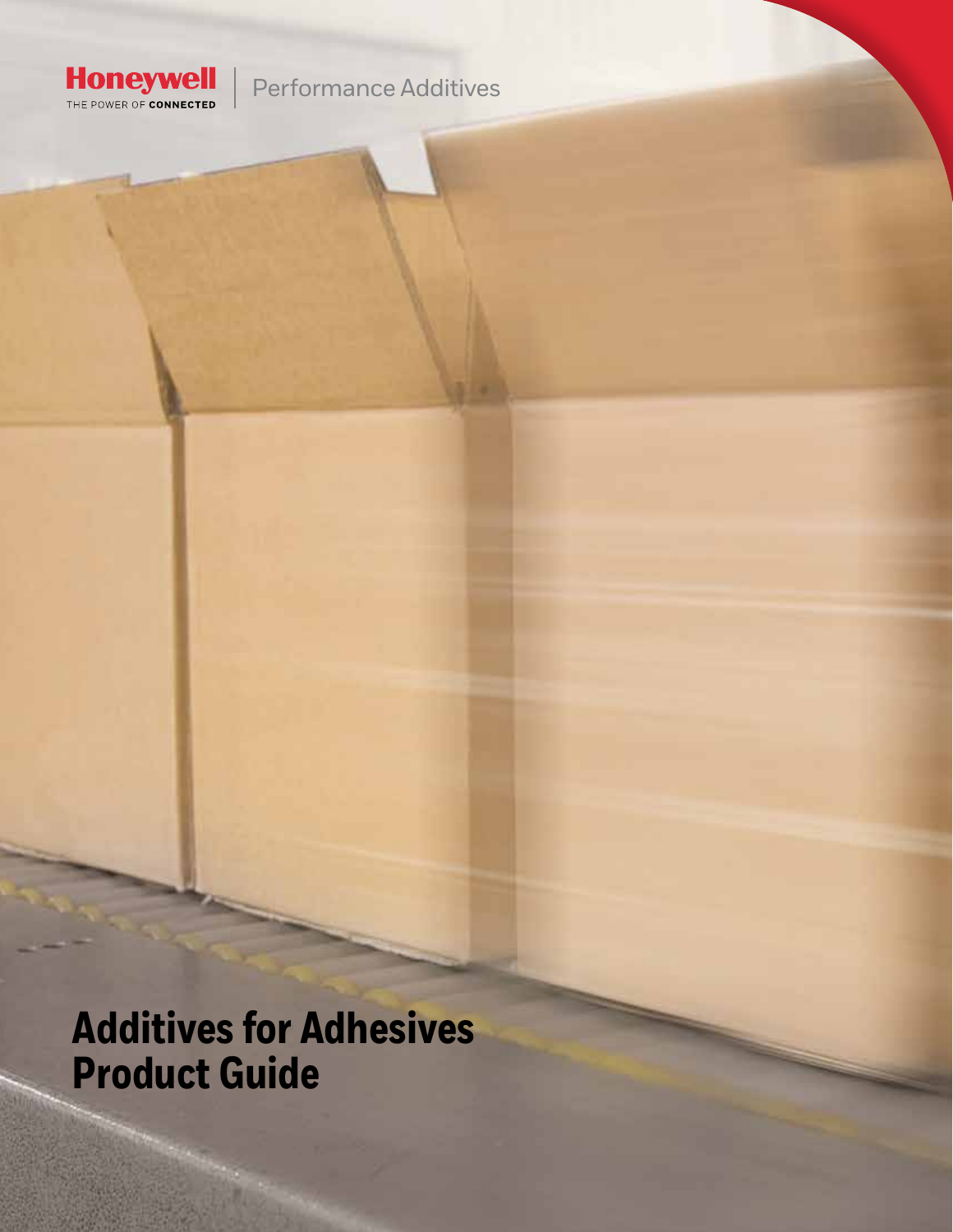

## Performance Additives

**Additives for Adhesives Product Guide**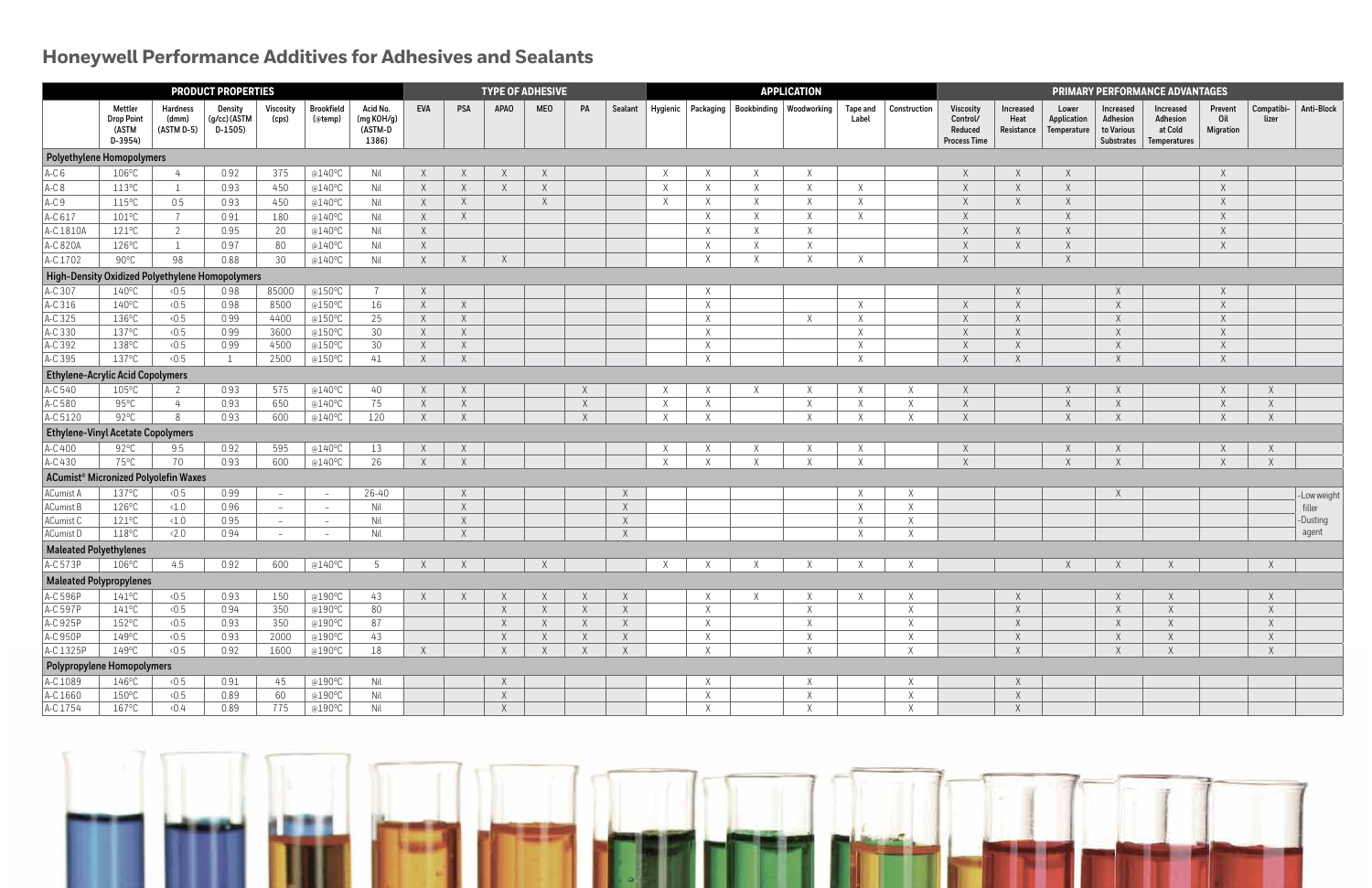## **Honeywell Performance Additives for Adhesives and Sealants**

| <b>PRODUCT PROPERTIES</b>                        |                                                  |                                 |                                     |                    |                              |                                            |            | <b>TYPE OF ADHESIVE</b> |             |            |             |              |              | <b>APPLICATION</b> |              |                                                            |                          |              |                                                         | <b>PRIMARY PERFORMANCE ADVANTAGES</b>  |                                     |                                                                 |                                                                |                                    |                     |             |  |
|--------------------------------------------------|--------------------------------------------------|---------------------------------|-------------------------------------|--------------------|------------------------------|--------------------------------------------|------------|-------------------------|-------------|------------|-------------|--------------|--------------|--------------------|--------------|------------------------------------------------------------|--------------------------|--------------|---------------------------------------------------------|----------------------------------------|-------------------------------------|-----------------------------------------------------------------|----------------------------------------------------------------|------------------------------------|---------------------|-------------|--|
|                                                  | Mettler<br><b>Drop Point</b><br>(ASTM<br>D-3954) | Hardness<br>(dmm)<br>(ASTM D-5) | Density<br>(g/cc) (ASTM<br>$D-1505$ | Viscosity<br>(cps) | <b>Brookfield</b><br>(@temp) | Acid No.<br>(mg KOH/g)<br>(ASTM-D<br>1386) | <b>EVA</b> | PSA                     | <b>APAO</b> | <b>MEO</b> | PA          |              |              |                    |              | Sealant   Hygienic   Packaging   Bookbinding   Woodworking | <b>Tape and</b><br>Label | Construction | Viscosity<br>Control/<br>Reduced<br><b>Process Time</b> | <b>Increased</b><br>Heat<br>Resistance | Lower<br>Application<br>Temperature | <b>Increased</b><br>Adhesion<br>to Various<br><b>Substrates</b> | <b>Increased</b><br>Adhesion<br>at Cold<br><b>Temperatures</b> | Prevent<br>Oil<br><b>Migration</b> | Compatibi-<br>lizer | Anti-Block  |  |
| Polyethylene Homopolymers                        |                                                  |                                 |                                     |                    |                              |                                            |            |                         |             |            |             |              |              |                    |              |                                                            |                          |              |                                                         |                                        |                                     |                                                                 |                                                                |                                    |                     |             |  |
| AC6                                              | $106^{\circ}$ C                                  |                                 | 0.92                                | 375                | @140°C                       | Nil                                        | $\times$   | $\times$                |             | $\times$   |             |              |              | X                  |              | $\times$                                                   |                          |              | X                                                       | $\times$                               | X                                   |                                                                 |                                                                |                                    |                     |             |  |
| $A-C8$                                           | 113°C                                            | $\overline{1}$                  | 0.93                                | 450                | @140°C                       | Nil                                        | $\times$   | X                       | $\lambda$   | $\times$   |             |              | $\times$     | X                  | $\chi$       | $\chi$                                                     | X                        |              | $\mathsf X$                                             | $\mathsf X$                            | $\mathsf X$                         |                                                                 |                                                                | X                                  |                     |             |  |
| $A-C9$                                           | $115^{\circ}$ C                                  | 0.5                             | 0.93                                | 450                | @140°C                       | Nil                                        | $\times$   | X                       |             | $\times$   |             |              | $\times$     | X                  | $\chi$       | $\chi$                                                     | $\times$                 |              | $\times$                                                | X                                      | $\times$                            |                                                                 |                                                                |                                    |                     |             |  |
| AC617                                            | $101^{\circ}$ C                                  |                                 | 0.91                                | 180                | @140°C                       | Nil                                        | $\times$   | X                       |             |            |             |              |              | $\times$           | $\chi$       | $\times$                                                   | $\chi$                   |              | $\times$                                                |                                        | $\times$                            |                                                                 |                                                                |                                    |                     |             |  |
| A-C 1810A                                        | $121^{\circ}$ C                                  | 2                               | 0.95                                | 20                 | @140°C                       | Nil                                        | $\times$   |                         |             |            |             |              |              | X                  | X            | $\times$                                                   |                          |              | $\times$                                                | X                                      | $\times$                            |                                                                 |                                                                |                                    |                     |             |  |
| A-C 820A                                         | 126°C                                            |                                 | 0.97                                | 80                 | @140°C                       | Nil                                        | X          |                         |             |            |             |              |              | X                  | X            | $\times$                                                   |                          |              | $\times$                                                | X                                      | $\times$                            |                                                                 |                                                                |                                    |                     |             |  |
| A-C 1702                                         | $90^{\circ}$ C                                   | 98                              | 0.88                                | 30                 | @140°C                       | Nil                                        | $\chi$     | X                       | $\chi$      |            |             |              |              | $\chi$             | $\mathsf{Y}$ | $\chi$                                                     | $\mathsf{X}$             |              | $\chi$                                                  |                                        | X                                   |                                                                 |                                                                |                                    |                     |             |  |
| High-Density Oxidized Polyethylene Homopolymers  |                                                  |                                 |                                     |                    |                              |                                            |            |                         |             |            |             |              |              |                    |              |                                                            |                          |              |                                                         |                                        |                                     |                                                                 |                                                                |                                    |                     |             |  |
| AC307                                            | $140^{\circ}$ C                                  | 0.5                             | 0.98                                | 85000              | @150°C                       |                                            | X          |                         |             |            |             |              |              | $\times$           |              |                                                            |                          |              |                                                         | $\times$                               |                                     |                                                                 |                                                                |                                    |                     |             |  |
| AC316                                            | $140^{\circ}$ C                                  | 0.5                             | 0.98                                | 8500               | @150°C                       | 16                                         | X          | X                       |             |            |             |              |              | X                  |              |                                                            | X                        |              | $\mathsf X$                                             | $\mathsf X$                            |                                     |                                                                 |                                                                |                                    |                     |             |  |
| AC325                                            | 136°C                                            | 0.5                             | 0.99                                | 4400               | @150°C                       | 25                                         | $\times$   | X                       |             |            |             |              |              | X                  |              | $\chi$                                                     | $\times$                 |              | $\times$                                                | $\mathsf X$                            |                                     |                                                                 |                                                                |                                    |                     |             |  |
| AC330                                            | 137°C                                            | $\langle 0.5$                   | 0.99                                | 3600               | @150°C                       | 30                                         | $\times$   | X                       |             |            |             |              |              | X                  |              |                                                            | $\times$                 |              | $\mathsf X$                                             | X                                      |                                     |                                                                 |                                                                |                                    |                     |             |  |
| A-C 392                                          | 138°C                                            | 0.5                             | 0.99                                | 4500               | @150°C                       | 30                                         | $\times$   | X                       |             |            |             |              |              | X                  |              |                                                            | $\times$                 |              | $\times$                                                | $\mathsf X$                            |                                     |                                                                 |                                                                |                                    |                     |             |  |
| AC395                                            | 137°C                                            | 0.5                             | $\overline{\phantom{0}}$            | 2500               | @150°C                       | 41                                         | $\times$   | X                       |             |            |             |              |              | X                  |              |                                                            | $\mathsf{X}$             |              | $\chi$                                                  | X                                      |                                     | $\mathsf{Y}$                                                    |                                                                | $\chi$                             |                     |             |  |
| <b>Ethylene-Acrylic Acid Copolymers</b>          |                                                  |                                 |                                     |                    |                              |                                            |            |                         |             |            |             |              |              |                    |              |                                                            |                          |              |                                                         |                                        |                                     |                                                                 |                                                                |                                    |                     |             |  |
| AC540                                            | $105^{\circ}$ C                                  |                                 | 0.93                                | 575                | @140°C                       | 40                                         | X          | X                       |             |            | X           |              |              | X                  |              | X                                                          |                          |              | X                                                       |                                        | $\times$                            |                                                                 |                                                                |                                    | $\times$            |             |  |
| A-C 580                                          | $95^{\circ}$ C                                   | 4                               | 0.93                                | 650                | @140°C                       | 75                                         | X          | $\mathsf X$             |             |            | $\mathsf X$ |              |              | X                  |              | $\chi$                                                     | $\times$                 | X            | $\mathsf X$                                             |                                        | $\times$                            | $\times$                                                        |                                                                |                                    | $\times$            |             |  |
| A-C 5120                                         | 92°C                                             | 8                               | 0.93                                | 600                | @140°C                       | 120                                        | $\chi$     | X                       |             |            | $\chi$      |              |              | $\times$           |              | $\mathsf{X}$                                               |                          |              | $\chi$                                                  |                                        | $\vee$                              |                                                                 |                                                                |                                    | $\mathsf{X}$        |             |  |
| <b>Ethylene-Vinyl Acetate Copolymers</b>         |                                                  |                                 |                                     |                    |                              |                                            |            |                         |             |            |             |              |              |                    |              |                                                            |                          |              |                                                         |                                        |                                     |                                                                 |                                                                |                                    |                     |             |  |
| AC400                                            | $92^{\circ}$ C                                   | 9.5                             | 0.92                                | 595                | @140°C                       | 13                                         | X          | $\times$                |             |            |             |              |              |                    |              |                                                            |                          |              |                                                         |                                        |                                     |                                                                 |                                                                |                                    |                     |             |  |
| AC430                                            | 75°C                                             | 70                              | 0.93                                | 600                | @140°C                       | 26                                         | $\chi$     | $\chi$                  |             |            |             |              | $\mathbf{v}$ |                    |              | $\chi$                                                     |                          |              | $\chi$                                                  |                                        | $\mathsf{Y}$                        |                                                                 |                                                                |                                    | $\chi$              |             |  |
| ACumist <sup>®</sup> Micronized Polyolefin Waxes |                                                  |                                 |                                     |                    |                              |                                            |            |                         |             |            |             |              |              |                    |              |                                                            |                          |              |                                                         |                                        |                                     |                                                                 |                                                                |                                    |                     |             |  |
| ACumist A                                        | 137°C                                            | 0.5                             | 0.99                                | $\sim$             | $-$                          | 26-40                                      |            | X                       |             |            |             | $\mathsf{X}$ |              |                    |              |                                                            |                          | Χ            |                                                         |                                        |                                     |                                                                 |                                                                |                                    |                     | -Low weight |  |
| ACumist B                                        | 126°C                                            | $\langle 1.0$                   | 0.96                                | $\sim$             | $-$                          | Nil                                        |            | X                       |             |            |             | X            |              |                    |              |                                                            | X                        | X            |                                                         |                                        |                                     |                                                                 |                                                                |                                    |                     | filler      |  |
| ACumist C                                        | $121^{\circ}$ C                                  | $\langle 1.0$                   | 0.95                                | $\sim$             | $\sim$                       | Nil                                        |            | X                       |             |            |             | X            |              |                    |              |                                                            | X                        | $\mathsf X$  |                                                         |                                        |                                     |                                                                 |                                                                |                                    |                     | -Dusting    |  |
| ACumist D                                        | $118^{\circ}$ C                                  | $\langle 2.0$                   | 0.94                                |                    |                              | Nil                                        |            | X                       |             |            |             | $\times$     |              |                    |              |                                                            | <b>Y</b>                 | $\mathsf{Y}$ |                                                         |                                        |                                     |                                                                 |                                                                |                                    |                     | agent       |  |
| <b>Maleated Polyethylenes</b>                    |                                                  |                                 |                                     |                    |                              |                                            |            |                         |             |            |             |              |              |                    |              |                                                            |                          |              |                                                         |                                        |                                     |                                                                 |                                                                |                                    |                     |             |  |
| AC573P                                           | 106°C                                            | 4.5                             | 0.92                                | 600                | @140°C                       | .5                                         |            | $\times$                |             |            |             |              |              |                    |              |                                                            |                          |              |                                                         |                                        |                                     |                                                                 |                                                                |                                    |                     |             |  |
| <b>Maleated Polypropylenes</b>                   |                                                  |                                 |                                     |                    |                              |                                            |            |                         |             |            |             |              |              |                    |              |                                                            |                          |              |                                                         |                                        |                                     |                                                                 |                                                                |                                    |                     |             |  |
| AC596P                                           | $141^{\circ}$ C                                  | 0.5                             | 0.93                                | 150                | @190°C                       | 43                                         | X          | $\times$                |             | X          | $\times$    | $\mathsf{X}$ |              | X                  |              | X                                                          |                          |              |                                                         | $\times$                               |                                     |                                                                 |                                                                |                                    |                     |             |  |
| $AC$ 597P                                        | $141^{\circ}$ C                                  | 0.5                             | 0.94                                | 350                | @190°C                       | 80                                         |            |                         | X           | X          | X           | X            |              | $\times$           |              | $\chi$                                                     |                          | X            |                                                         | X                                      |                                     | $\times$                                                        | $\times$                                                       |                                    | $\times$            |             |  |
| A-C 925P                                         | $152^{\circ}$ C                                  | 0.5                             | 0.93                                | 350                | @190°C                       | 87                                         |            |                         | X           | X          | X           | X            |              | X                  |              | $\chi$                                                     |                          | X            |                                                         | X                                      |                                     | $\times$                                                        | $\times$                                                       |                                    | $\times$            |             |  |
| AC950P                                           | 149°C                                            | 0.5                             | 0.93                                | 2000               | @190°C                       | 43                                         |            |                         | X           | X          | $\times$    | X            |              | X                  |              | $\chi$                                                     |                          | Χ            |                                                         | $\mathsf X$                            |                                     | $\times$                                                        | $\chi$                                                         |                                    | $\times$            |             |  |
| A-C 1325P                                        | 149°C                                            | 0.5                             | 0.92                                | 1600               | @190°C                       | 18                                         | X          |                         | $\times$    | $\times$   | $\times$    | X            |              | $\times$           |              | $\chi$                                                     |                          | X            |                                                         | X                                      |                                     | $\times$                                                        | $\times$                                                       |                                    | $\times$            |             |  |
| Polypropylene Homopolymers                       |                                                  |                                 |                                     |                    |                              |                                            |            |                         |             |            |             |              |              |                    |              |                                                            |                          |              |                                                         |                                        |                                     |                                                                 |                                                                |                                    |                     |             |  |
| AC1089                                           | $146^{\circ}$ C                                  | 0.5                             | 0.91                                | 45                 | @190°C                       | Nil                                        |            |                         | $\times$    |            |             |              |              | X                  |              | X                                                          |                          | Χ            |                                                         | $\mathsf X$                            |                                     |                                                                 |                                                                |                                    |                     |             |  |
| A-C 1660                                         | $150^{\circ}$ C                                  | 0.5                             | 0.89                                | 60                 | @190°C                       | Nil                                        |            |                         | X           |            |             |              |              | X                  |              | $\chi$                                                     |                          | X            |                                                         | $\mathsf X$                            |                                     |                                                                 |                                                                |                                    |                     |             |  |
| AC1754                                           | $167^{\circ}$ C                                  | 0.4                             | 0.89                                | 775                | @190°C                       | Nil                                        |            |                         | X           |            |             |              |              | X                  |              | X                                                          |                          | X            |                                                         | X                                      |                                     |                                                                 |                                                                |                                    |                     |             |  |